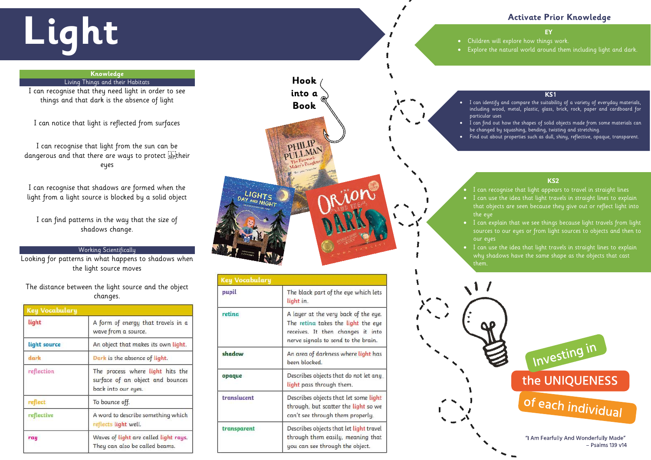# **Activate Prior Knowledge**

#### **KS1**

- I can identify and compare the suitability of a variety of everyday materials, including wood, metal, plastic, glass, brick, rock, paper and cardboard for
- I can find out how the shapes of solid objects made from some materials can be changed by squashing, bending, twisting and stretching.
- Find out about properties such as dull, shiny, reflective, opaque, transparent.

- I can recognise that light appears to travel in straight lines • I can use the idea that light travels in straight lines to explain that objects are seen because they give out or reflect light into
- I can explain that we see things because light travels from light sources to our eyes or from light sources to objects and then to
- $\overline{ }$  I can use the idea that light travels in straight lines to explain why shadows have the same shape as the objects that cast



 $-$  Psalms 139 v14

### **KS2**

# **Light**<br> **EXplore the natural world around them** including light and dark.<br>
• Explore the natural world around them including light and dark.

## **Knowledge**

Living Things and their Habitats

I can recognise that they need light in order to see things and that dark is the absence of light

I can notice that light is reflected from surfaces

I can recognise that light from the sun can be dangerous and that there are ways to protect <u>'str</u>itheir eyes



Describes objects that let light travel through them easily, meaning that you can see through the object.

Describes objects that do not let any

Describes objects that let some light

through, but scatter the light so we can't see through them properly.

light pass through them.

been blocked.

opaque

translucent

transparent

I can recognise that shadows are formed when the light from a light source is blocked by a solid object

I can find patterns in the way that the size of shadows change.

# Working Scientifically

Looking for patterns in what happens to shadows when the light source moves

The distance between the light source and the object changes.

| <b>Key Vocabulary</b> |                                                                                             |
|-----------------------|---------------------------------------------------------------------------------------------|
| light                 | A form of energy that travels in a<br>wave from a source.                                   |
| light source          | An object that makes its own light.                                                         |
| dark                  | Dark is the absence of light.                                                               |
| reflection            | The process where light hits the<br>surface of an object and bounces<br>back into our eyes. |
| reflect               | To bounce off.                                                                              |
| reflective            | A word to describe something which<br>reflects light well.                                  |
| ray                   | Waves of light are called light rays.<br>They can also be called beams.                     |